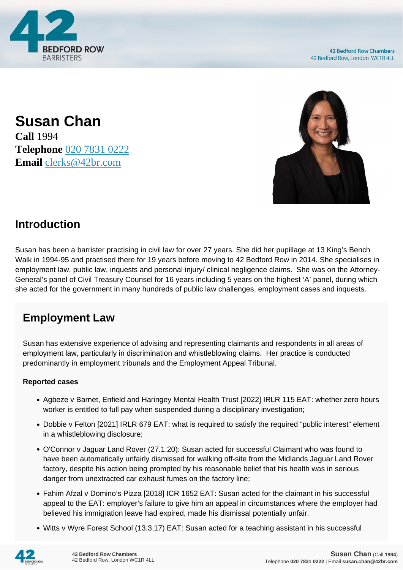

**Susan Chan Call** 1994 **Telephone** [020 7831 0222](https://pdf.codeshore.co/_42br/tel:020 7831 0222) **Email** [clerks@42br.com](mailto:clerks@42br.com)



## **Introduction**

Susan has been a barrister practising in civil law for over 27 years. She did her pupillage at 13 King's Bench Walk in 1994-95 and practised there for 19 years before moving to 42 Bedford Row in 2014. She specialises in employment law, public law, inquests and personal injury/ clinical negligence claims. She was on the Attorney-General's panel of Civil Treasury Counsel for 16 years including 5 years on the highest 'A' panel, during which she acted for the government in many hundreds of public law challenges, employment cases and inquests.

## **Employment Law**

Susan has extensive experience of advising and representing claimants and respondents in all areas of employment law, particularly in discrimination and whistleblowing claims. Her practice is conducted predominantly in employment tribunals and the Employment Appeal Tribunal.

## **Reported cases**

- Agbeze v Barnet, Enfield and Haringey Mental Health Trust [2022] IRLR 115 EAT: whether zero hours worker is entitled to full pay when suspended during a disciplinary investigation;
- Dobbie v Felton [2021] IRLR 679 EAT: what is required to satisfy the required "public interest" element in a whistleblowing disclosure;
- O'Connor v Jaguar Land Rover (27.1.20): Susan acted for successful Claimant who was found to have been automatically unfairly dismissed for walking off-site from the Midlands Jaguar Land Rover factory, despite his action being prompted by his reasonable belief that his health was in serious danger from unextracted car exhaust fumes on the factory line;
- Fahim Afzal v Domino's Pizza [2018] ICR 1652 EAT: Susan acted for the claimant in his successful appeal to the EAT: employer's failure to give him an appeal in circumstances where the employer had believed his immigration leave had expired, made his dismissal potentially unfair.
- Witts v Wyre Forest School (13.3.17) EAT: Susan acted for a teaching assistant in his successful